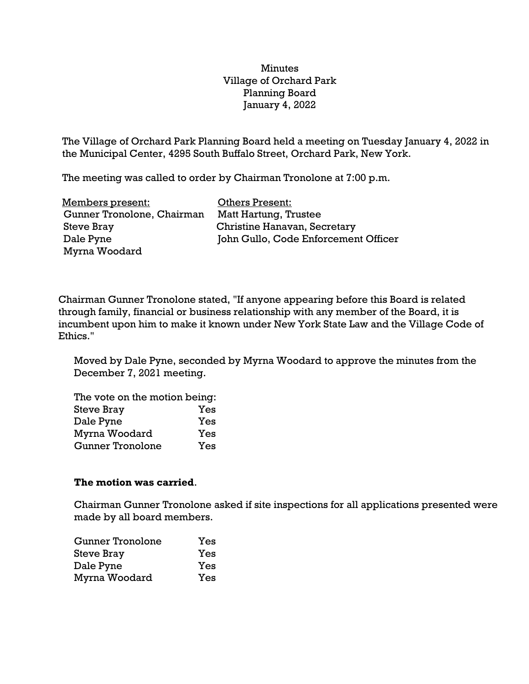## **Minutes** Village of Orchard Park Planning Board January 4, 2022

The Village of Orchard Park Planning Board held a meeting on Tuesday January 4, 2022 in the Municipal Center, 4295 South Buffalo Street, Orchard Park, New York.

The meeting was called to order by Chairman Tronolone at 7:00 p.m.

| Members present:           | <b>Others Present:</b>               |
|----------------------------|--------------------------------------|
| Gunner Tronolone, Chairman | Matt Hartung, Trustee                |
| Steve Bray                 | Christine Hanavan, Secretary         |
| Dale Pyne                  | John Gullo, Code Enforcement Officer |
| Myrna Woodard              |                                      |

Chairman Gunner Tronolone stated, "If anyone appearing before this Board is related through family, financial or business relationship with any member of the Board, it is incumbent upon him to make it known under New York State Law and the Village Code of Ethics."

Moved by Dale Pyne, seconded by Myrna Woodard to approve the minutes from the December 7, 2021 meeting.

| The vote on the motion being: |     |  |
|-------------------------------|-----|--|
| <b>Steve Bray</b>             | Yes |  |
| Dale Pyne                     | Yes |  |
| Myrna Woodard                 | Yes |  |
| <b>Gunner Tronolone</b>       | Yes |  |

## **The motion was carried**.

Chairman Gunner Tronolone asked if site inspections for all applications presented were made by all board members.

| Gunner Tronolone | Yes |
|------------------|-----|
| Steve Bray       | Yes |
| Dale Pyne        | Yes |
| Myrna Woodard    | Yes |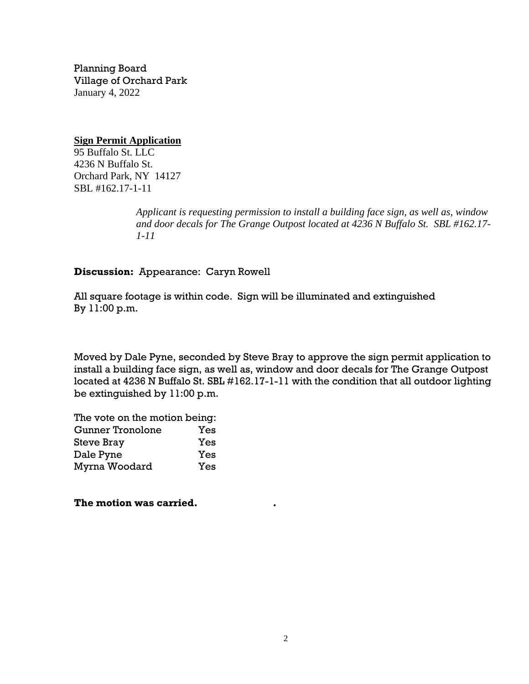Planning Board Village of Orchard Park January 4, 2022

**Sign Permit Application** 95 Buffalo St. LLC 4236 N Buffalo St. Orchard Park, NY 14127 SBL #162.17-1-11

> *Applicant is requesting permission to install a building face sign, as well as, window and door decals for The Grange Outpost located at 4236 N Buffalo St. SBL #162.17- 1-11*

**Discussion:** Appearance: Caryn Rowell

All square footage is within code. Sign will be illuminated and extinguished By 11:00 p.m.

Moved by Dale Pyne, seconded by Steve Bray to approve the sign permit application to install a building face sign, as well as, window and door decals for The Grange Outpost located at 4236 N Buffalo St. SBL #162.17-1-11 with the condition that all outdoor lighting be extinguished by 11:00 p.m.

The vote on the motion being: Gunner Tronolone Yes Steve Bray Yes Dale Pyne Yes Myrna Woodard Yes

**The motion was carried. .**